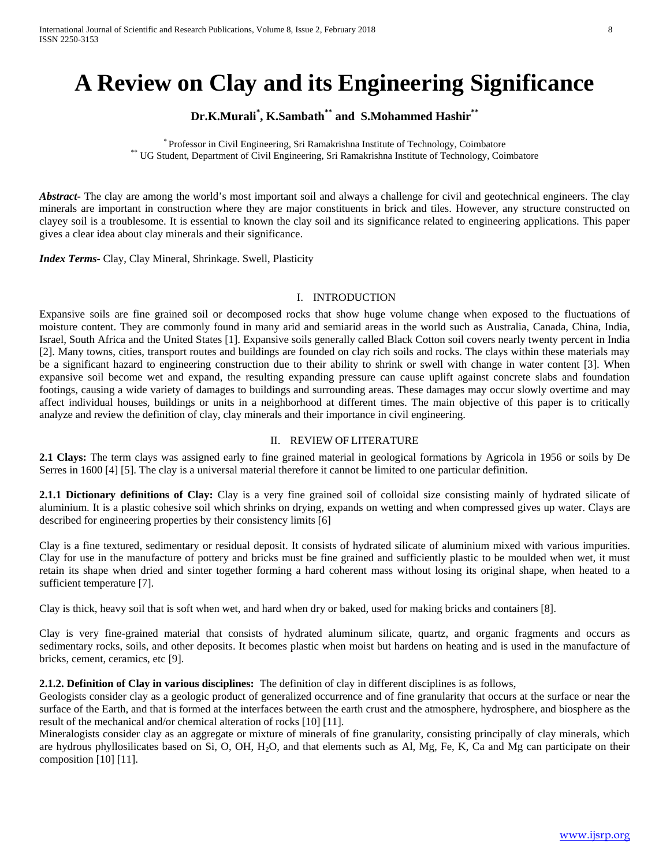# **A Review on Clay and its Engineering Significance**

# **Dr.K.Murali\* , K.Sambath\*\* and S.Mohammed Hashir\*\***

\* Professor in Civil Engineering, Sri Ramakrishna Institute of Technology, Coimbatore \*\* UG Student, Department of Civil Engineering, Sri Ramakrishna Institute of Technology, Coimbatore

*Abstract* The clay are among the world's most important soil and always a challenge for civil and geotechnical engineers. The clay minerals are important in construction where they are major constituents in brick and tiles. However, any structure constructed on clayey soil is a troublesome. It is essential to known the clay soil and its significance related to engineering applications. This paper gives a clear idea about clay minerals and their significance.

*Index Terms*- Clay, Clay Mineral, Shrinkage. Swell, Plasticity

# I. INTRODUCTION

Expansive soils are fine grained soil or decomposed rocks that show huge volume change when exposed to the fluctuations of moisture content. They are commonly found in many arid and semiarid areas in the world such as Australia, Canada, China, India, Israel, South Africa and the United States [1]. Expansive soils generally called Black Cotton soil covers nearly twenty percent in India [2]. Many towns, cities, transport routes and buildings are founded on clay rich soils and rocks. The clays within these materials may be a significant hazard to engineering construction due to their ability to shrink or swell with change in water content [3]. When expansive soil become wet and expand, the resulting expanding pressure can cause uplift against concrete slabs and foundation footings, causing a wide variety of damages to buildings and surrounding areas. These damages may occur slowly overtime and may affect individual houses, buildings or units in a neighborhood at different times. The main objective of this paper is to critically analyze and review the definition of clay, clay minerals and their importance in civil engineering.

# II. REVIEW OF LITERATURE

**2.1 Clays:** The term clays was assigned early to fine grained material in geological formations by Agricola in 1956 or soils by De Serres in 1600 [4] [5]. The clay is a universal material therefore it cannot be limited to one particular definition.

**2.1.1 Dictionary definitions of Clay:** Clay is a very fine grained soil of colloidal size consisting mainly of hydrated silicate of aluminium. It is a plastic cohesive soil which shrinks on drying, expands on wetting and when compressed gives up water. Clays are described for engineering properties by their consistency limits [6]

Clay is a fine textured, sedimentary or residual deposit. It consists of hydrated silicate of aluminium mixed with various impurities. Clay for use in the manufacture of pottery and bricks must be fine grained and sufficiently plastic to be moulded when wet, it must retain its shape when dried and sinter together forming a hard coherent mass without losing its original shape, when heated to a sufficient temperature [7].

Clay is thick, heavy soil that is soft when wet, and hard when dry or baked, used for making bricks and containers [8].

Clay is very fine-grained material that consists of hydrated aluminum silicate, quartz, and organic fragments and occurs as sedimentary rocks, soils, and other deposits. It becomes plastic when moist but hardens on heating and is used in the manufacture of bricks, cement, ceramics, etc [9].

#### **2.1.2. Definition of Clay in various disciplines:** The definition of clay in different disciplines is as follows,

Geologists consider clay as a geologic product of generalized occurrence and of fine granularity that occurs at the surface or near the surface of the Earth, and that is formed at the interfaces between the earth crust and the atmosphere, hydrosphere, and biosphere as the result of the mechanical and/or chemical alteration of rocks [10] [11].

Mineralogists consider clay as an aggregate or mixture of minerals of fine granularity, consisting principally of clay minerals, which are hydrous phyllosilicates based on Si, O, OH, H2O, and that elements such as Al, Mg, Fe, K, Ca and Mg can participate on their composition [10] [11].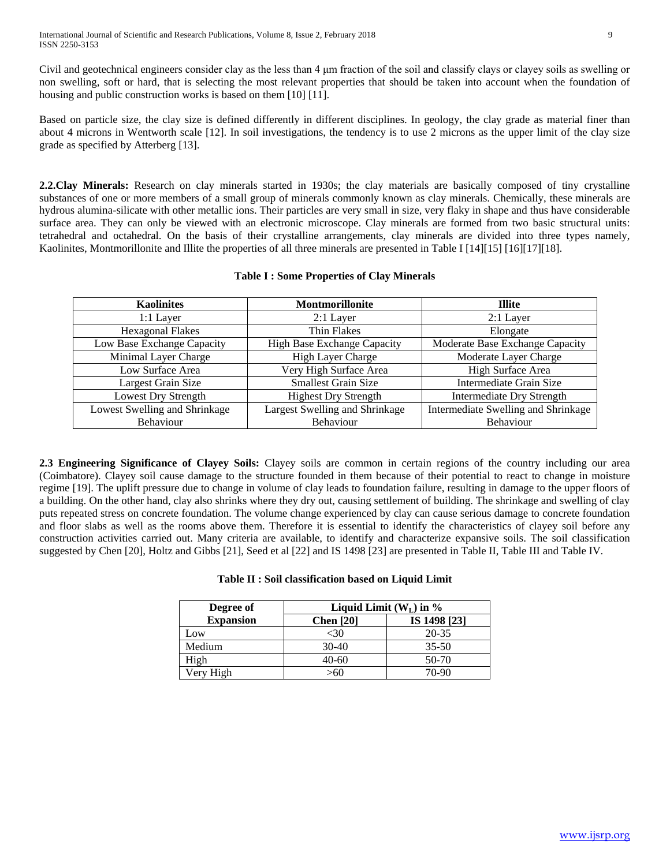Civil and geotechnical engineers consider clay as the less than 4 μm fraction of the soil and classify clays or clayey soils as swelling or non swelling, soft or hard, that is selecting the most relevant properties that should be taken into account when the foundation of housing and public construction works is based on them [10] [11].

Based on particle size, the clay size is defined differently in different disciplines. In geology, the clay grade as material finer than about 4 microns in Wentworth scale [12]. In soil investigations, the tendency is to use 2 microns as the upper limit of the clay size grade as specified by Atterberg [13].

**2.2.Clay Minerals:** Research on clay minerals started in 1930s; the clay materials are basically composed of tiny crystalline substances of one or more members of a small group of minerals commonly known as clay minerals. Chemically, these minerals are hydrous alumina-silicate with other metallic ions. Their particles are very small in size, very flaky in shape and thus have considerable surface area. They can only be viewed with an electronic microscope. Clay minerals are formed from two basic structural units: tetrahedral and octahedral. On the basis of their crystalline arrangements, clay minerals are divided into three types namely, Kaolinites, Montmorillonite and Illite the properties of all three minerals are presented in Table I [14][15] [16][17][18].

|  | <b>Table I: Some Properties of Clay Minerals</b> |  |  |
|--|--------------------------------------------------|--|--|
|--|--------------------------------------------------|--|--|

| <b>Kaolinites</b>             | Montmorillonite                    | <b>Illite</b>                       |
|-------------------------------|------------------------------------|-------------------------------------|
| $1:1$ Layer                   | $2:1$ Layer                        | $2:1$ Layer                         |
| <b>Hexagonal Flakes</b>       | Thin Flakes                        | Elongate                            |
| Low Base Exchange Capacity    | <b>High Base Exchange Capacity</b> | Moderate Base Exchange Capacity     |
| Minimal Layer Charge          | High Layer Charge                  | Moderate Layer Charge               |
| Low Surface Area              | Very High Surface Area             | High Surface Area                   |
| Largest Grain Size            | <b>Smallest Grain Size</b>         | Intermediate Grain Size             |
| Lowest Dry Strength           | <b>Highest Dry Strength</b>        | <b>Intermediate Dry Strength</b>    |
| Lowest Swelling and Shrinkage | Largest Swelling and Shrinkage     | Intermediate Swelling and Shrinkage |
| Behaviour                     | Behaviour                          | Behaviour                           |

**2.3 Engineering Significance of Clayey Soils:** Clayey soils are common in certain regions of the country including our area (Coimbatore). Clayey soil cause damage to the structure founded in them because of their potential to react to change in moisture regime [19]. The uplift pressure due to change in volume of clay leads to foundation failure, resulting in damage to the upper floors of a building. On the other hand, clay also shrinks where they dry out, causing settlement of building. The shrinkage and swelling of clay puts repeated stress on concrete foundation. The volume change experienced by clay can cause serious damage to concrete foundation and floor slabs as well as the rooms above them. Therefore it is essential to identify the characteristics of clayey soil before any construction activities carried out. Many criteria are available, to identify and characterize expansive soils. The soil classification suggested by Chen [20], Holtz and Gibbs [21], Seed et al [22] and IS 1498 [23] are presented in Table II, Table III and Table IV.

# **Table II : Soil classification based on Liquid Limit**

| Degree of        | Liquid Limit $(W_L)$ in % |              |  |
|------------------|---------------------------|--------------|--|
| <b>Expansion</b> | <b>Chen</b> [20]          | IS 1498 [23] |  |
| Low              | <30                       | 20-35        |  |
| Medium           | $30-40$                   | $35 - 50$    |  |
| High             | 40-60                     | 50-70        |  |
| Very High        | >60                       | 70-90        |  |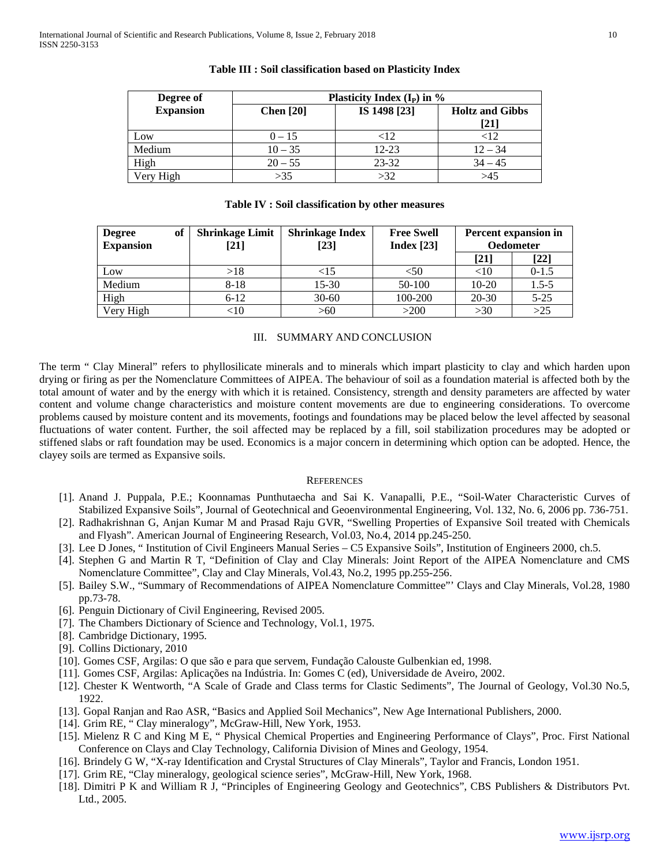| Degree of        | Plasticity Index $(I_P)$ in % |              |                                                        |  |
|------------------|-------------------------------|--------------|--------------------------------------------------------|--|
| <b>Expansion</b> | Chen $[20]$                   | IS 1498 [23] | <b>Holtz and Gibbs</b><br>$\left\lceil 21\right\rceil$ |  |
| Low              | $0 - 15$                      | ${<}12$      | $<$ 12                                                 |  |
| Medium           | $10 - 35$                     | 12-23        | $12 - 34$                                              |  |
| High             | $20 - 55$                     | $23 - 32$    | $34 - 45$                                              |  |
| Very High        | >35                           | >32          | >45                                                    |  |

# **Table III : Soil classification based on Plasticity Index**

### **Table IV : Soil classification by other measures**

| of<br><b>Degree</b><br><b>Expansion</b> | <b>Shrinkage Limit</b><br>[21] | <b>Shrinkage Index</b><br>[23] | <b>Free Swell</b><br>Index $[23]$ | Percent expansion in<br><b>Oedometer</b> |           |
|-----------------------------------------|--------------------------------|--------------------------------|-----------------------------------|------------------------------------------|-----------|
|                                         |                                |                                |                                   | [21]                                     | $[22]$    |
| Low                                     | >18                            | $<$ 15 $\,$                    | <50                               | $<$ 10                                   | $0-1.5$   |
| Medium                                  | $8 - 18$                       | $15-30$                        | 50-100                            | $10-20$                                  | $1.5 - 5$ |
| High                                    | $6 - 12$                       | $30 - 60$                      | 100-200                           | $20 - 30$                                | $5 - 25$  |
| Very High                               | $<$ 10                         | >60                            | >200                              | >30                                      | $>25$     |

#### III. SUMMARY AND CONCLUSION

The term " Clay Mineral" refers to phyllosilicate minerals and to minerals which impart plasticity to clay and which harden upon drying or firing as per the Nomenclature Committees of AIPEA. The behaviour of soil as a foundation material is affected both by the total amount of water and by the energy with which it is retained. Consistency, strength and density parameters are affected by water content and volume change characteristics and moisture content movements are due to engineering considerations. To overcome problems caused by moisture content and its movements, footings and foundations may be placed below the level affected by seasonal fluctuations of water content. Further, the soil affected may be replaced by a fill, soil stabilization procedures may be adopted or stiffened slabs or raft foundation may be used. Economics is a major concern in determining which option can be adopted. Hence, the clayey soils are termed as Expansive soils.

#### **REFERENCES**

- [1]. Anand J. Puppala, P.E.; Koonnamas Punthutaecha and Sai K. Vanapalli, P.E., "Soil-Water Characteristic Curves of Stabilized Expansive Soils", Journal of Geotechnical and Geoenvironmental Engineering, Vol. 132, No. 6, 2006 pp. 736-751.
- [2]. Radhakrishnan G, Anjan Kumar M and Prasad Raju GVR, "Swelling Properties of Expansive Soil treated with Chemicals and Flyash". American Journal of Engineering Research, Vol.03, No.4, 2014 pp.245-250.
- [3]. Lee D Jones, " Institution of Civil Engineers Manual Series C5 Expansive Soils", Institution of Engineers 2000, ch.5.
- [4]. Stephen G and Martin R T, "Definition of Clay and Clay Minerals: Joint Report of the AIPEA Nomenclature and CMS Nomenclature Committee", Clay and Clay Minerals, Vol.43, No.2, 1995 pp.255-256.
- [5]. Bailey S.W., "Summary of Recommendations of AIPEA Nomenclature Committee"' Clays and Clay Minerals, Vol.28, 1980 pp.73-78.
- [6]. Penguin Dictionary of Civil Engineering, Revised 2005.
- [7]. The Chambers Dictionary of Science and Technology, Vol.1, 1975.
- [8]. Cambridge Dictionary, 1995.
- [9]. Collins Dictionary, 2010
- [10]. Gomes CSF, Argilas: O que são e para que servem, Fundação Calouste Gulbenkian ed, 1998.
- [11]. Gomes CSF, Argilas: Aplicações na Indústria. In: Gomes C (ed), Universidade de Aveiro, 2002.
- [12]. Chester K Wentworth, "A Scale of Grade and Class terms for Clastic Sediments", The Journal of Geology, Vol.30 No.5, 1922.
- [13]. Gopal Ranjan and Rao ASR, "Basics and Applied Soil Mechanics", New Age International Publishers, 2000.
- [14]. Grim RE, "Clay mineralogy", McGraw-Hill, New York, 1953.
- [15]. Mielenz R C and King M E, " Physical Chemical Properties and Engineering Performance of Clays", Proc. First National Conference on Clays and Clay Technology, California Division of Mines and Geology, 1954.
- [16]. Brindely G W, "X-ray Identification and Crystal Structures of Clay Minerals", Taylor and Francis, London 1951.
- [17]. Grim RE, "Clay mineralogy, geological science series", McGraw-Hill, New York, 1968.
- [18]. Dimitri P K and William R J, "Principles of Engineering Geology and Geotechnics", CBS Publishers & Distributors Pvt. Ltd., 2005.